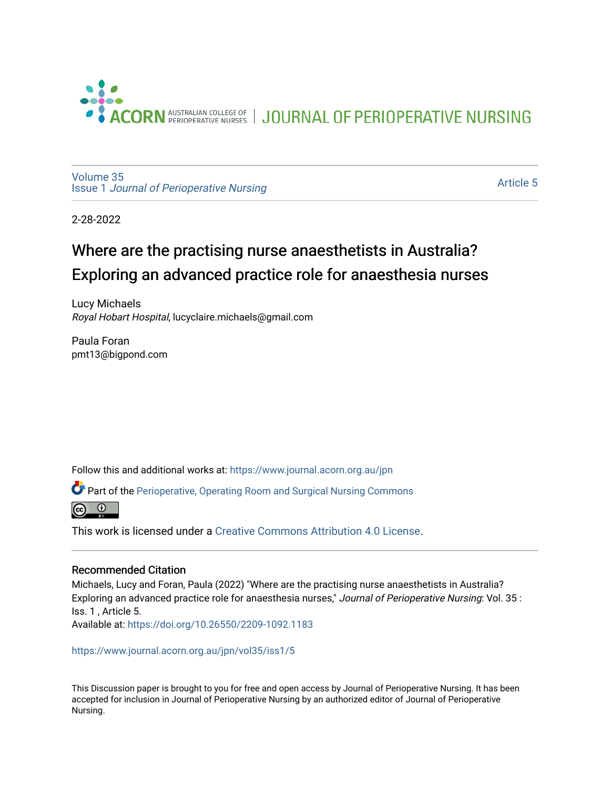

JOURNAL OF PERIOPERATIVE NURSING

[Volume 35](https://www.journal.acorn.org.au/jpn/vol35) Issue 1 [Journal of Perioperative Nursing](https://www.journal.acorn.org.au/jpn/vol35/iss1)

[Article 5](https://www.journal.acorn.org.au/jpn/vol35/iss1/5) 

2-28-2022

## Where are the practising nurse anaesthetists in Australia? Exploring an advanced practice role for anaesthesia nurses

Lucy Michaels Royal Hobart Hospital, lucyclaire.michaels@gmail.com

Paula Foran pmt13@bigpond.com

Follow this and additional works at: [https://www.journal.acorn.org.au/jpn](https://www.journal.acorn.org.au/jpn?utm_source=www.journal.acorn.org.au%2Fjpn%2Fvol35%2Fiss1%2F5&utm_medium=PDF&utm_campaign=PDFCoverPages) 

**C** Part of the [Perioperative, Operating Room and Surgical Nursing Commons](http://network.bepress.com/hgg/discipline/726?utm_source=www.journal.acorn.org.au%2Fjpn%2Fvol35%2Fiss1%2F5&utm_medium=PDF&utm_campaign=PDFCoverPages)

 $\odot$ 

This work is licensed under a [Creative Commons Attribution 4.0 License](https://creativecommons.org/licenses/by/4.0/).

#### Recommended Citation

Michaels, Lucy and Foran, Paula (2022) "Where are the practising nurse anaesthetists in Australia? Exploring an advanced practice role for anaesthesia nurses," Journal of Perioperative Nursing: Vol. 35 : Iss. 1 , Article 5. Available at:<https://doi.org/10.26550/2209-1092.1183>

[https://www.journal.acorn.org.au/jpn/vol35/iss1/5](10.26550/2209-1092.1183?utm_source=www.journal.acorn.org.au%2Fjpn%2Fvol35%2Fiss1%2F5&utm_medium=PDF&utm_campaign=PDFCoverPages)

This Discussion paper is brought to you for free and open access by Journal of Perioperative Nursing. It has been accepted for inclusion in Journal of Perioperative Nursing by an authorized editor of Journal of Perioperative Nursing.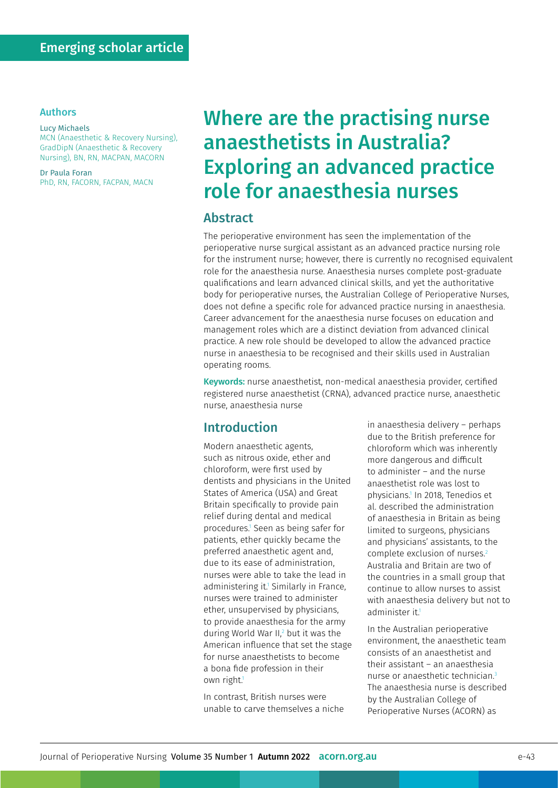#### Authors

#### Lucy Michaels MCN (Anaesthetic & Recovery Nursing), GradDipN (Anaesthetic & Recovery Nursing), BN, RN, MACPAN, MACORN

Dr Paula Foran PhD, RN, FACORN, FACPAN, MACN

# Where are the practising nurse anaesthetists in Australia? Exploring an advanced practice role for anaesthesia nurses

#### Abstract

The perioperative environment has seen the implementation of the perioperative nurse surgical assistant as an advanced practice nursing role for the instrument nurse; however, there is currently no recognised equivalent role for the anaesthesia nurse. Anaesthesia nurses complete post-graduate qualifications and learn advanced clinical skills, and yet the authoritative body for perioperative nurses, the Australian College of Perioperative Nurses, does not define a specific role for advanced practice nursing in anaesthesia. Career advancement for the anaesthesia nurse focuses on education and management roles which are a distinct deviation from advanced clinical practice. A new role should be developed to allow the advanced practice nurse in anaesthesia to be recognised and their skills used in Australian operating rooms.

Keywords: nurse anaesthetist, non-medical anaesthesia provider, certified registered nurse anaesthetist (CRNA), advanced practice nurse, anaesthetic nurse, anaesthesia nurse

## Introduction

Modern anaesthetic agents, such as nitrous oxide, ether and chloroform, were first used by dentists and physicians in the United States of America (USA) and Great Britain specifically to provide pain relief during dental and medical procedures.1 Seen as being safer for patients, ether quickly became the preferred anaesthetic agent and, due to its ease of administration, nurses were able to take the lead in administering it.1 Similarly in France, nurses were trained to administer ether, unsupervised by physicians, to provide anaesthesia for the army during World War II,<sup>2</sup> but it was the American influence that set the stage for nurse anaesthetists to become a bona fide profession in their own right.<sup>1</sup>

In contrast, British nurses were unable to carve themselves a niche in anaesthesia delivery – perhaps due to the British preference for chloroform which was inherently more dangerous and difficult to administer – and the nurse anaesthetist role was lost to physicians.1 In 2018, Tenedios et al. described the administration of anaesthesia in Britain as being limited to surgeons, physicians and physicians' assistants, to the complete exclusion of nurses.<sup>2</sup> Australia and Britain are two of the countries in a small group that continue to allow nurses to assist with anaesthesia delivery but not to administer it.<sup>1</sup>

In the Australian perioperative environment, the anaesthetic team consists of an anaesthetist and their assistant – an anaesthesia nurse or anaesthetic technician.3 The anaesthesia nurse is described by the Australian College of Perioperative Nurses (ACORN) as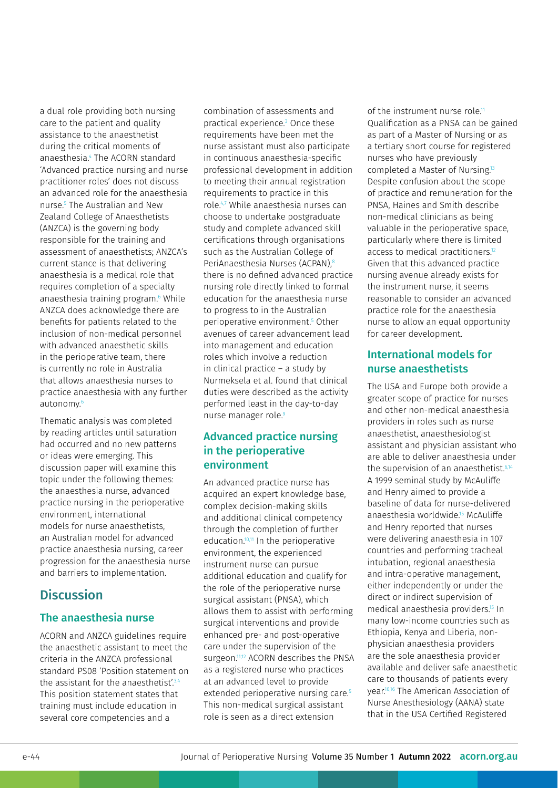a dual role providing both nursing care to the patient and quality assistance to the anaesthetist during the critical moments of anaesthesia.4 The ACORN standard 'Advanced practice nursing and nurse practitioner roles' does not discuss an advanced role for the anaesthesia nurse.5 The Australian and New Zealand College of Anaesthetists (ANZCA) is the governing body responsible for the training and assessment of anaesthetists; ANZCA's current stance is that delivering anaesthesia is a medical role that requires completion of a specialty anaesthesia training program.<sup>6</sup> While ANZCA does acknowledge there are benefits for patients related to the inclusion of non-medical personnel with advanced anaesthetic skills in the perioperative team, there is currently no role in Australia that allows anaesthesia nurses to practice anaesthesia with any further autonomy.<sup>6</sup>

Thematic analysis was completed by reading articles until saturation had occurred and no new patterns or ideas were emerging. This discussion paper will examine this topic under the following themes: the anaesthesia nurse, advanced practice nursing in the perioperative environment, international models for nurse anaesthetists, an Australian model for advanced practice anaesthesia nursing, career progression for the anaesthesia nurse and barriers to implementation.

## **Discussion**

#### The anaesthesia nurse

ACORN and ANZCA guidelines require the anaesthetic assistant to meet the criteria in the ANZCA professional standard PS08 'Position statement on the assistant for the anaesthetist'.<sup>3,4</sup> This position statement states that training must include education in several core competencies and a

combination of assessments and practical experience.3 Once these requirements have been met the nurse assistant must also participate in continuous anaesthesia-specific professional development in addition to meeting their annual registration requirements to practice in this role.4,7 While anaesthesia nurses can choose to undertake postgraduate study and complete advanced skill certifications through organisations such as the Australian College of PeriAnaesthesia Nurses (ACPAN).<sup>8</sup> there is no defined advanced practice nursing role directly linked to formal education for the anaesthesia nurse to progress to in the Australian perioperative environment.5 Other avenues of career advancement lead into management and education roles which involve a reduction in clinical practice – a study by Nurmeksela et al. found that clinical duties were described as the activity performed least in the day-to-day nurse manager role.<sup>9</sup>

#### Advanced practice nursing in the perioperative environment

An advanced practice nurse has acquired an expert knowledge base, complex decision-making skills and additional clinical competency through the completion of further education.10,11 In the perioperative environment, the experienced instrument nurse can pursue additional education and qualify for the role of the perioperative nurse surgical assistant (PNSA), which allows them to assist with performing surgical interventions and provide enhanced pre- and post-operative care under the supervision of the surgeon.<sup>11,12</sup> ACORN describes the PNSA as a registered nurse who practices at an advanced level to provide extended perioperative nursing care.<sup>5</sup> This non-medical surgical assistant role is seen as a direct extension

of the instrument nurse role<sup>11</sup> Qualification as a PNSA can be gained as part of a Master of Nursing or as a tertiary short course for registered nurses who have previously completed a Master of Nursing.13 Despite confusion about the scope of practice and remuneration for the PNSA, Haines and Smith describe non-medical clinicians as being valuable in the perioperative space, particularly where there is limited access to medical practitioners.<sup>12</sup> Given that this advanced practice nursing avenue already exists for the instrument nurse, it seems reasonable to consider an advanced practice role for the anaesthesia nurse to allow an equal opportunity for career development.

#### International models for nurse anaesthetists

The USA and Europe both provide a greater scope of practice for nurses and other non-medical anaesthesia providers in roles such as nurse anaesthetist, anaesthesiologist assistant and physician assistant who are able to deliver anaesthesia under the supervision of an anaesthetist.<sup>6,14</sup> A 1999 seminal study by McAuliffe and Henry aimed to provide a baseline of data for nurse-delivered anaesthesia worldwide.15 McAuliffe and Henry reported that nurses were delivering anaesthesia in 107 countries and performing tracheal intubation, regional anaesthesia and intra-operative management, either independently or under the direct or indirect supervision of medical anaesthesia providers.15 In many low-income countries such as Ethiopia, Kenya and Liberia, nonphysician anaesthesia providers are the sole anaesthesia provider available and deliver safe anaesthetic care to thousands of patients every year.10,16 The American Association of Nurse Anesthesiology (AANA) state that in the USA Certified Registered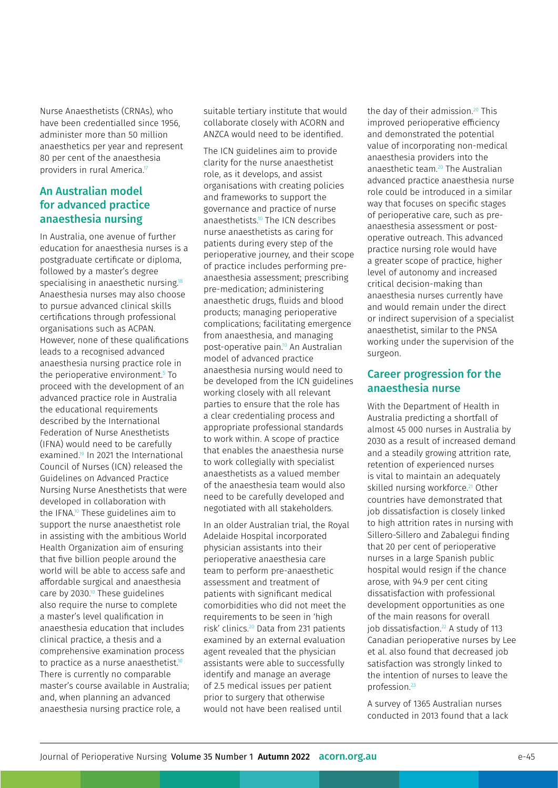Nurse Anaesthetists (CRNAs), who have been credentialled since 1956, administer more than 50 million anaesthetics per year and represent 80 per cent of the anaesthesia providers in rural America.<sup>17</sup>

#### An Australian model for advanced practice anaesthesia nursing

In Australia, one avenue of further education for anaesthesia nurses is a postgraduate certificate or diploma, followed by a master's degree specialising in anaesthetic nursing.<sup>18</sup> Anaesthesia nurses may also choose to pursue advanced clinical skills certifications through professional organisations such as ACPAN. However, none of these qualifications leads to a recognised advanced anaesthesia nursing practice role in the perioperative environment.5 To proceed with the development of an advanced practice role in Australia the educational requirements described by the International Federation of Nurse Anesthetists (IFNA) would need to be carefully examined.19 In 2021 the International Council of Nurses (ICN) released the Guidelines on Advanced Practice Nursing Nurse Anesthetists that were developed in collaboration with the IFNA.10 These guidelines aim to support the nurse anaesthetist role in assisting with the ambitious World Health Organization aim of ensuring that five billion people around the world will be able to access safe and affordable surgical and anaesthesia care by 2030.<sup>10</sup> These guidelines also require the nurse to complete a master's level qualification in anaesthesia education that includes clinical practice, a thesis and a comprehensive examination process to practice as a nurse anaesthetist.<sup>10</sup> There is currently no comparable master's course available in Australia; and, when planning an advanced anaesthesia nursing practice role, a

suitable tertiary institute that would collaborate closely with ACORN and ANZCA would need to be identified.

The ICN guidelines aim to provide clarity for the nurse anaesthetist role, as it develops, and assist organisations with creating policies and frameworks to support the governance and practice of nurse anaesthetists.10 The ICN describes nurse anaesthetists as caring for patients during every step of the perioperative journey, and their scope of practice includes performing preanaesthesia assessment; prescribing pre-medication; administering anaesthetic drugs, fluids and blood products; managing perioperative complications; facilitating emergence from anaesthesia, and managing post-operative pain.10 An Australian model of advanced practice anaesthesia nursing would need to be developed from the ICN guidelines working closely with all relevant parties to ensure that the role has a clear credentialing process and appropriate professional standards to work within. A scope of practice that enables the anaesthesia nurse to work collegially with specialist anaesthetists as a valued member of the anaesthesia team would also need to be carefully developed and negotiated with all stakeholders.

In an older Australian trial, the Royal Adelaide Hospital incorporated physician assistants into their perioperative anaesthesia care team to perform pre-anaesthetic assessment and treatment of patients with significant medical comorbidities who did not meet the requirements to be seen in 'high risk' clinics.20 Data from 231 patients examined by an external evaluation agent revealed that the physician assistants were able to successfully identify and manage an average of 2.5 medical issues per patient prior to surgery that otherwise would not have been realised until

the day of their admission.<sup>20</sup> This improved perioperative efficiency and demonstrated the potential value of incorporating non-medical anaesthesia providers into the anaesthetic team.20 The Australian advanced practice anaesthesia nurse role could be introduced in a similar way that focuses on specific stages of perioperative care, such as preanaesthesia assessment or postoperative outreach. This advanced practice nursing role would have a greater scope of practice, higher level of autonomy and increased critical decision-making than anaesthesia nurses currently have and would remain under the direct or indirect supervision of a specialist anaesthetist, similar to the PNSA working under the supervision of the surgeon.

#### Career progression for the anaesthesia nurse

With the Department of Health in Australia predicting a shortfall of almost 45 000 nurses in Australia by 2030 as a result of increased demand and a steadily growing attrition rate, retention of experienced nurses is vital to maintain an adequately skilled nursing workforce.<sup>21</sup> Other countries have demonstrated that job dissatisfaction is closely linked to high attrition rates in nursing with Sillero-Sillero and Zabalegui finding that 20 per cent of perioperative nurses in a large Spanish public hospital would resign if the chance arose, with 94.9 per cent citing dissatisfaction with professional development opportunities as one of the main reasons for overall job dissatisfaction.<sup>22</sup> A study of 113 Canadian perioperative nurses by Lee et al. also found that decreased job satisfaction was strongly linked to the intention of nurses to leave the profession.23

A survey of 1365 Australian nurses conducted in 2013 found that a lack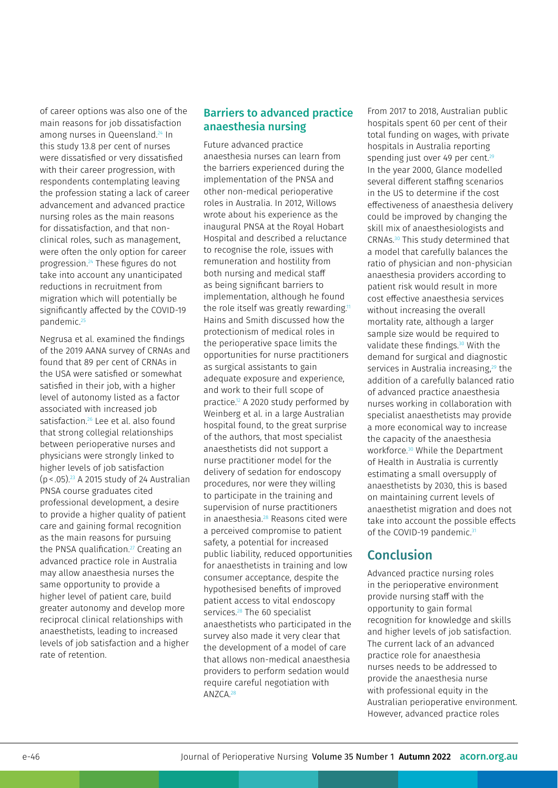of career options was also one of the main reasons for job dissatisfaction among nurses in Queensland.<sup>24</sup> In this study 13.8 per cent of nurses were dissatisfied or very dissatisfied with their career progression, with respondents contemplating leaving the profession stating a lack of career advancement and advanced practice nursing roles as the main reasons for dissatisfaction, and that nonclinical roles, such as management, were often the only option for career progression.24 These figures do not take into account any unanticipated reductions in recruitment from migration which will potentially be significantly affected by the COVID-19 pandemic.<sup>25</sup>

Negrusa et al. examined the findings of the 2019 AANA survey of CRNAs and found that 89 per cent of CRNAs in the USA were satisfied or somewhat satisfied in their job, with a higher level of autonomy listed as a factor associated with increased job satisfaction.<sup>26</sup> Lee et al. also found that strong collegial relationships between perioperative nurses and physicians were strongly linked to higher levels of job satisfaction (p< .05).23 A 2015 study of 24 Australian PNSA course graduates cited professional development, a desire to provide a higher quality of patient care and gaining formal recognition as the main reasons for pursuing the PNSA qualification.<sup>27</sup> Creating an advanced practice role in Australia may allow anaesthesia nurses the same opportunity to provide a higher level of patient care, build greater autonomy and develop more reciprocal clinical relationships with anaesthetists, leading to increased levels of job satisfaction and a higher rate of retention.

#### Barriers to advanced practice anaesthesia nursing

Future advanced practice anaesthesia nurses can learn from the barriers experienced during the implementation of the PNSA and other non-medical perioperative roles in Australia. In 2012, Willows wrote about his experience as the inaugural PNSA at the Royal Hobart Hospital and described a reluctance to recognise the role, issues with remuneration and hostility from both nursing and medical staff as being significant barriers to implementation, although he found the role itself was greatly rewarding.<sup>11</sup> Hains and Smith discussed how the protectionism of medical roles in the perioperative space limits the opportunities for nurse practitioners as surgical assistants to gain adequate exposure and experience, and work to their full scope of practice.<sup>12</sup> A 2020 study performed by Weinberg et al. in a large Australian hospital found, to the great surprise of the authors, that most specialist anaesthetists did not support a nurse practitioner model for the delivery of sedation for endoscopy procedures, nor were they willing to participate in the training and supervision of nurse practitioners in anaesthesia.28 Reasons cited were a perceived compromise to patient safety, a potential for increased public liability, reduced opportunities for anaesthetists in training and low consumer acceptance, despite the hypothesised benefits of improved patient access to vital endoscopy services.<sup>28</sup> The 60 specialist anaesthetists who participated in the survey also made it very clear that the development of a model of care that allows non-medical anaesthesia providers to perform sedation would require careful negotiation with  $ANZCA$ <sup>28</sup>

From 2017 to 2018, Australian public hospitals spent 60 per cent of their total funding on wages, with private hospitals in Australia reporting spending just over 49 per cent.<sup>29</sup> In the year 2000, Glance modelled several different staffing scenarios in the US to determine if the cost effectiveness of anaesthesia delivery could be improved by changing the skill mix of anaesthesiologists and CRNAs.30 This study determined that a model that carefully balances the ratio of physician and non-physician anaesthesia providers according to patient risk would result in more cost effective anaesthesia services without increasing the overall mortality rate, although a larger sample size would be required to validate these findings.<sup>30</sup> With the demand for surgical and diagnostic services in Australia increasing,<sup>29</sup> the addition of a carefully balanced ratio of advanced practice anaesthesia nurses working in collaboration with specialist anaesthetists may provide a more economical way to increase the capacity of the anaesthesia workforce.30 While the Department of Health in Australia is currently estimating a small oversupply of anaesthetists by 2030, this is based on maintaining current levels of anaesthetist migration and does not take into account the possible effects of the COVID-19 pandemic.<sup>31</sup>

### Conclusion

Advanced practice nursing roles in the perioperative environment provide nursing staff with the opportunity to gain formal recognition for knowledge and skills and higher levels of job satisfaction. The current lack of an advanced practice role for anaesthesia nurses needs to be addressed to provide the anaesthesia nurse with professional equity in the Australian perioperative environment. However, advanced practice roles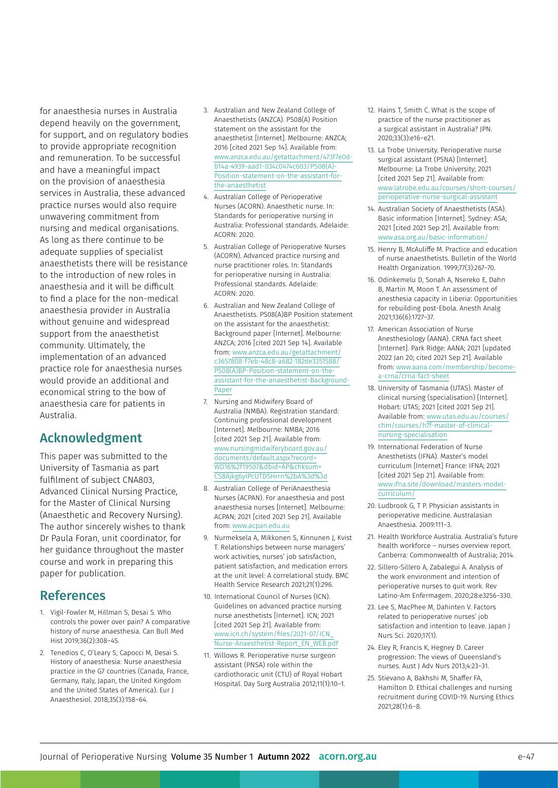for anaesthesia nurses in Australia depend heavily on the government, for support, and on regulatory bodies to provide appropriate recognition and remuneration. To be successful and have a meaningful impact on the provision of anaesthesia services in Australia, these advanced practice nurses would also require unwavering commitment from nursing and medical organisations. As long as there continue to be adequate supplies of specialist anaesthetists there will be resistance to the introduction of new roles in anaesthesia and it will be difficult to find a place for the non-medical anaesthesia provider in Australia without genuine and widespread support from the anaesthetist community. Ultimately, the implementation of an advanced practice role for anaesthesia nurses would provide an additional and economical string to the bow of anaesthesia care for patients in Australia.

#### Acknowledgment

This paper was submitted to the University of Tasmania as part fulfilment of subject CNA803, Advanced Clinical Nursing Practice, for the Master of Clinical Nursing (Anaesthetic and Recovery Nursing). The author sincerely wishes to thank Dr Paula Foran, unit coordinator, for her guidance throughout the master course and work in preparing this paper for publication.

#### References

- 1. Vigil-Fowler M, Hillman S, Desai S. Who controls the power over pain? A comparative history of nurse anaesthesia. Can Bull Med Hist 2019;36(2):308–45.
- 2. Tenedios C, O'Leary S, Capocci M, Desai S. History of anaesthesia: Nurse anaesthesia practice in the G7 countries (Canada, France, Germany, Italy, Japan, the United Kingdom and the United States of America). Eur J Anaesthesiol. 2018;35(3):158–64.
- 3. Australian and New Zealand College of Anaesthetists (ANZCA). PS08(A) Position statement on the assistant for the anaesthetist [Internet]. Melbourne: ANZCA; 2016 [cited 2021 Sep 14]. Available from: [www.anzca.edu.au/getattachment/473f7e0d](http://www.anzca.edu.au/getattachment/473f7e0d-b14a-4939-aad1-034c0474c603/PS08(A)-Position-statement-on-the-assistant-for-the-anaesthetist)[b14a-4939-aad1-034c0474c603/PS08\(A\)-](http://www.anzca.edu.au/getattachment/473f7e0d-b14a-4939-aad1-034c0474c603/PS08(A)-Position-statement-on-the-assistant-for-the-anaesthetist) [Position-statement-on-the-assistant-for](http://www.anzca.edu.au/getattachment/473f7e0d-b14a-4939-aad1-034c0474c603/PS08(A)-Position-statement-on-the-assistant-for-the-anaesthetist)[the-anaesthetist](http://www.anzca.edu.au/getattachment/473f7e0d-b14a-4939-aad1-034c0474c603/PS08(A)-Position-statement-on-the-assistant-for-the-anaesthetist)
- 4. Australian College of Perioperative Nurses (ACORN). Anaesthetic nurse. In: Standards for perioperative nursing in Australia: Professional standards. Adelaide: ACORN: 2020.
- 5. Australian College of Perioperative Nurses (ACORN). Advanced practice nursing and nurse practitioner roles. In: Standards for perioperative nursing in Australia: Professional standards. Adelaide: ACORN: 2020.
- 6. Australian and New Zealand College of Anaesthetists. PS08(A)BP Position statement on the assistant for the anaesthetist: Background paper [Internet]. Melbourne: ANZCA; 2016 [cited 2021 Sep 14]. Available from: [www.anzca.edu.au/getattachment/](http://www.anzca.edu.au/getattachment/c3657808-f7eb-48c8-a682-182de3351588/PS08(A)BP-Position-statement-on-the-assistant-for-the-anaesthetist-Background-Paper) [c3657808-f7eb-48c8-a682-182de3351588/](http://www.anzca.edu.au/getattachment/c3657808-f7eb-48c8-a682-182de3351588/PS08(A)BP-Position-statement-on-the-assistant-for-the-anaesthetist-Background-Paper) [PS08\(A\)BP-Position-statement-on-the](http://www.anzca.edu.au/getattachment/c3657808-f7eb-48c8-a682-182de3351588/PS08(A)BP-Position-statement-on-the-assistant-for-the-anaesthetist-Background-Paper)[assistant-for-the-anaesthetist-Background-](http://www.anzca.edu.au/getattachment/c3657808-f7eb-48c8-a682-182de3351588/PS08(A)BP-Position-statement-on-the-assistant-for-the-anaesthetist-Background-Paper)[Paper](http://www.anzca.edu.au/getattachment/c3657808-f7eb-48c8-a682-182de3351588/PS08(A)BP-Position-statement-on-the-assistant-for-the-anaesthetist-Background-Paper)
- 7. Nursing and Midwifery Board of Australia (NMBA). Registration standard: Continuing professional development [Internet]. Melbourne: NMBA; 2016 [cited 2021 Sep 21]. Available from: [www.nursingmidwiferyboard.gov.au/](http://www.nursingmidwiferyboard.gov.au/documents/default.aspx?record=WD16%2f19507&dbid=AP&chksum=CS8Ajkg6yIPcUTD5Hrrn%2bA%3d%3d) [documents/default.aspx?record=](http://www.nursingmidwiferyboard.gov.au/documents/default.aspx?record=WD16%2f19507&dbid=AP&chksum=CS8Ajkg6yIPcUTD5Hrrn%2bA%3d%3d) [WD16%2f19507&dbid=AP&chksum=](http://www.nursingmidwiferyboard.gov.au/documents/default.aspx?record=WD16%2f19507&dbid=AP&chksum=CS8Ajkg6yIPcUTD5Hrrn%2bA%3d%3d) [CS8Ajkg6yIPcUTD5Hrrn%2bA%3d%3d](http://www.nursingmidwiferyboard.gov.au/documents/default.aspx?record=WD16%2f19507&dbid=AP&chksum=CS8Ajkg6yIPcUTD5Hrrn%2bA%3d%3d)
- 8. Australian College of PeriAnaesthesia Nurses (ACPAN). For anaesthesia and post anaesthesia nurses [Internet]. Melbourne: ACPAN; 2021 [cited 2021 Sep 21]. Available from: [www.acpan.edu.au](http://www.acpan.edu.au)
- 9. Nurmeksela A, Mikkonen S, Kinnunen J, Kvist T. Relationships between nurse managers' work activities, nurses' job satisfaction, patient satisfaction, and medication errors at the unit level: A correlational study. BMC Health Service Research 2021;21(1):296.
- 10. International Council of Nurses (ICN). Guidelines on advanced practice nursing nurse anesthetists [Internet]. ICN; 2021 [cited 2021 Sep 21]. Available from: [www.icn.ch/system/files/2021-07/ICN\\_](http://www.icn.ch/system/files/2021-07/ICN_Nurse-Anaesthetist-Report_EN_WEB.pdf) [Nurse-Anaesthetist-Report\\_EN\\_WEB.pdf](http://www.icn.ch/system/files/2021-07/ICN_Nurse-Anaesthetist-Report_EN_WEB.pdf)
- 11. Willows R. Perioperative nurse surgeon assistant (PNSA) role within the cardiothoracic unit (CTU) of Royal Hobart Hospital. Day Surg Australia 2012;11(1):10–1.
- 12. Hains T, Smith C. What is the scope of practice of the nurse practitioner as a surgical assistant in Australia? JPN. 2020;33(3):e16–e21.
- 13. La Trobe University. Perioperative nurse surgical assistant (PSNA) [Internet]. Melbourne: La Trobe University; 2021 [cited 2021 Sep 21]. Available from: [www.latrobe.edu.au/courses/short-courses/](https://www.latrobe.edu.au/courses/short-courses/perioperative-nurse-surgical-assistant) [perioperative-nurse-surgical-assistant](https://www.latrobe.edu.au/courses/short-courses/perioperative-nurse-surgical-assistant)
- 14. Australian Society of Anaesthetists (ASA). Basic information [Internet]. Sydney: ASA; 2021 [cited 2021 Sep 21]. Available from: [www.asa.org.au/basic-information/](http://www.asa.org.au/basic-information/)
- 15. Henry B, McAuliffe M. Practice and education of nurse anaesthetists. Bulletin of the World Health Organization. 1999;77(3):267–70.
- 16. Odinkemelu D, Sonah A, Nsereko E, Dahn B, Martin M, Moon T. An assessment of anesthesia capacity in Liberia: Opportunities for rebuilding post-Ebola. Anesth Analg 2021;136(6):1727–37.
- 17. American Association of Nurse Anesthesiology (AANA). CRNA fact sheet [Internet]. Park Ridge: AANA; 2021 [updated 2022 Jan 20; cited 2021 Sep 21]. Available from: [www.aana.com/membership/become](https://www.aana.com/membership/become-a-crna/crna-fact-sheet)[a-crna/crna-fact-sheet](https://www.aana.com/membership/become-a-crna/crna-fact-sheet)
- 18. University of Tasmania (UTAS). Master of clinical nursing (specialisation) [Internet]. Hobart: UTAS; 2021 [cited 2021 Sep 21]. Available from: [www.utas.edu.au/courses/](https://www.utas.edu.au/courses/chm/courses/h7f-master-of-clinical-nursing-specialisation) [chm/courses/h7f-master-of-clinical](https://www.utas.edu.au/courses/chm/courses/h7f-master-of-clinical-nursing-specialisation)[nursing-specialisation](https://www.utas.edu.au/courses/chm/courses/h7f-master-of-clinical-nursing-specialisation)
- 19. International Federation of Nurse Anesthetists (IFNA). Master's model curriculum [Internet] France: IFNA; 2021 [cited 2021 Sep 21]. Available from: [www.ifna.site/download/masters-model](http://www.ifna.site/download/masters-model-curriculum/)[curriculum/](http://www.ifna.site/download/masters-model-curriculum/)
- 20. Ludbrook G, T P. Physician assistants in perioperative medicine. Australasian Anaesthesia. 2009:111–3.
- 21. Health Workforce Australia. Australia's future health workforce – nurses overview report. Canberra: Commonwealth of Australia; 2014.
- 22. Sillero-Sillero A, Zabalegui A. Analysis of the work environment and intention of perioperative nurses to quit work. Rev Latino-Am Enfermagem. 2020;28:e3256–330.
- 23. Lee S, MacPhee M, Dahinten V. Factors related to perioperative nurses' job satisfaction and intention to leave. Japan J Nurs Sci. 2020;17(1).
- 24. Eley R, Francis K, Hegney D. Career progression: The views of Queensland's nurses. Aust J Adv Nurs 2013;4:23–31.
- 25. Stievano A, Bakhshi M, Shaffer FA, Hamilton D. Ethical challenges and nursing recruitment during COVID-19. Nursing Ethics 2021;28(1):6–8.